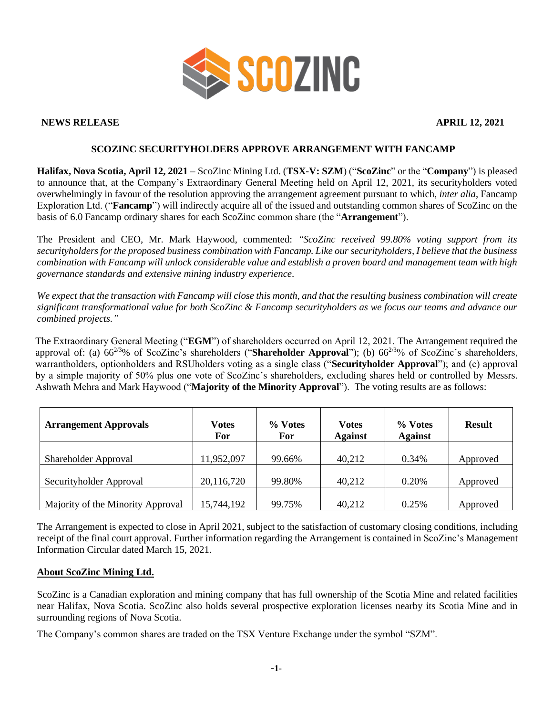

## **NEWS RELEASE APRIL 12, 2021**

## **SCOZINC SECURITYHOLDERS APPROVE ARRANGEMENT WITH FANCAMP**

**Halifax, Nova Scotia, April 12, 2021 –** ScoZinc Mining Ltd. (**TSX-V: SZM**) ("**ScoZinc**" or the "**Company**") is pleased to announce that, at the Company's Extraordinary General Meeting held on April 12, 2021, its securityholders voted overwhelmingly in favour of the resolution approving the arrangement agreement pursuant to which, *inter alia*, Fancamp Exploration Ltd. ("**Fancamp**") will indirectly acquire all of the issued and outstanding common shares of ScoZinc on the basis of 6.0 Fancamp ordinary shares for each ScoZinc common share (the "**Arrangement**").

The President and CEO, Mr. Mark Haywood, commented: *"ScoZinc received 99.80% voting support from its securityholders for the proposed business combination with Fancamp. Like our securityholders, I believe that the business combination with Fancamp will unlock considerable value and establish a proven board and management team with high governance standards and extensive mining industry experience.* 

*We expect that the transaction with Fancamp will close this month, and that the resulting business combination will create significant transformational value for both ScoZinc & Fancamp securityholders as we focus our teams and advance our combined projects."*

The Extraordinary General Meeting ("**EGM**") of shareholders occurred on April 12, 2021. The Arrangement required the approval of: (a)  $66^{2/3}\%$  of ScoZinc's shareholders ("**Shareholder Approval**"); (b)  $66^{2/3}\%$  of ScoZinc's shareholders, warrantholders, optionholders and RSUholders voting as a single class ("**Securityholder Approval**"); and (c) approval by a simple majority of 50% plus one vote of ScoZinc's shareholders, excluding shares held or controlled by Messrs. Ashwath Mehra and Mark Haywood ("**Majority of the Minority Approval**"). The voting results are as follows:

| <b>Arrangement Approvals</b>      | Votes<br>For | % Votes<br>For | <b>Votes</b><br><b>Against</b> | % Votes<br><b>Against</b> | <b>Result</b> |
|-----------------------------------|--------------|----------------|--------------------------------|---------------------------|---------------|
| Shareholder Approval              | 11,952,097   | 99.66%         | 40,212                         | 0.34%                     | Approved      |
| Securityholder Approval           | 20,116,720   | 99.80%         | 40,212                         | 0.20%                     | Approved      |
| Majority of the Minority Approval | 15,744,192   | 99.75%         | 40,212                         | 0.25%                     | Approved      |

The Arrangement is expected to close in April 2021, subject to the satisfaction of customary closing conditions, including receipt of the final court approval. Further information regarding the Arrangement is contained in ScoZinc's Management Information Circular dated March 15, 2021.

## **About ScoZinc Mining Ltd.**

ScoZinc is a Canadian exploration and mining company that has full ownership of the Scotia Mine and related facilities near Halifax, Nova Scotia. ScoZinc also holds several prospective exploration licenses nearby its Scotia Mine and in surrounding regions of Nova Scotia.

The Company's common shares are traded on the TSX Venture Exchange under the symbol "SZM".